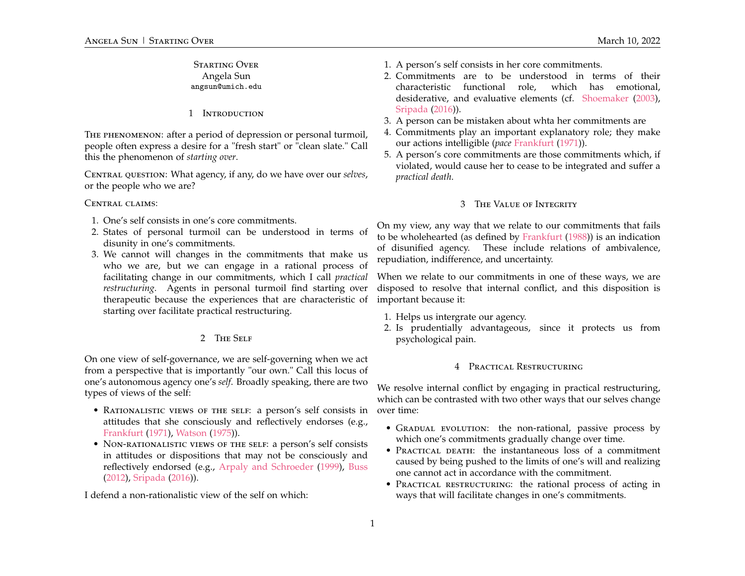# Starting Over Angela Sun angsun@umich.edu

#### 1 Introduction

The phenomenon: after a period of depression or personal turmoil, people often express a desire for a "fresh start" or "clean slate." Call this the phenomenon of *starting over*.

Central question: What agency, if any, do we have over our *selves*, or the people who we are?

#### CENTRAL CLAIMS:

- 1. One's self consists in one's core commitments.
- 2. States of personal turmoil can be understood in terms of disunity in one's commitments.
- 3. We cannot will changes in the commitments that make us who we are, but we can engage in a rational process of facilitating change in our commitments, which I call *practical restructuring*. Agents in personal turmoil find starting over therapeutic because the experiences that are characteristic of starting over facilitate practical restructuring.

# 2 The Self

On one view of self-governance, we are self-governing when we act from a perspective that is importantly "our own." Call this locus of one's autonomous agency one's *self*. Broadly speaking, there are two types of views of the self:

- RATIONALISTIC VIEWS OF THE SELF: a person's self consists in attitudes that she consciously and reflectively endorses (e.g., [Frankfurt](#page-1-0) [\(1971\)](#page-1-0), [Watson](#page-1-1) [\(1975\)](#page-1-1)).
- NON-RATIONALISTIC VIEWS OF THE SELF: a person's self consists in attitudes or dispositions that may not be consciously and reflectively endorsed (e.g., [Arpaly and Schroeder](#page-1-2) [\(1999\)](#page-1-2), [Buss](#page-1-3) [\(2012\)](#page-1-3), [Sripada](#page-1-4) [\(2016\)](#page-1-4)).

I defend a non-rationalistic view of the self on which:

- 1. A person's self consists in her core commitments.
- 2. Commitments are to be understood in terms of their characteristic functional role, which has emotional, desiderative, and evaluative elements (cf. [Shoemaker](#page-1-5) [\(2003\)](#page-1-5), [Sripada](#page-1-4) [\(2016\)](#page-1-4)).
- 3. A person can be mistaken about whta her commitments are
- 4. Commitments play an important explanatory role; they make our actions intelligible (*pace* [Frankfurt](#page-1-0) [\(1971\)](#page-1-0)).
- 5. A person's core commitments are those commitments which, if violated, would cause her to cease to be integrated and suffer a *practical death*.

# 3 The Value of Integrity

On my view, any way that we relate to our commitments that fails to be wholehearted (as defined by [Frankfurt](#page-1-6) [\(1988\)](#page-1-6)) is an indication of disunified agency. These include relations of ambivalence, repudiation, indifference, and uncertainty.

When we relate to our commitments in one of these ways, we are disposed to resolve that internal conflict, and this disposition is important because it:

- 1. Helps us intergrate our agency.
- 2. Is prudentially advantageous, since it protects us from psychological pain.

#### 4 Practical Restructuring

We resolve internal conflict by engaging in practical restructuring, which can be contrasted with two other ways that our selves change over time:

- GRADUAL EVOLUTION: the non-rational, passive process by which one's commitments gradually change over time.
- PRACTICAL DEATH: the instantaneous loss of a commitment caused by being pushed to the limits of one's will and realizing one cannot act in accordance with the commitment.
- PRACTICAL RESTRUCTURING: the rational process of acting in ways that will facilitate changes in one's commitments.